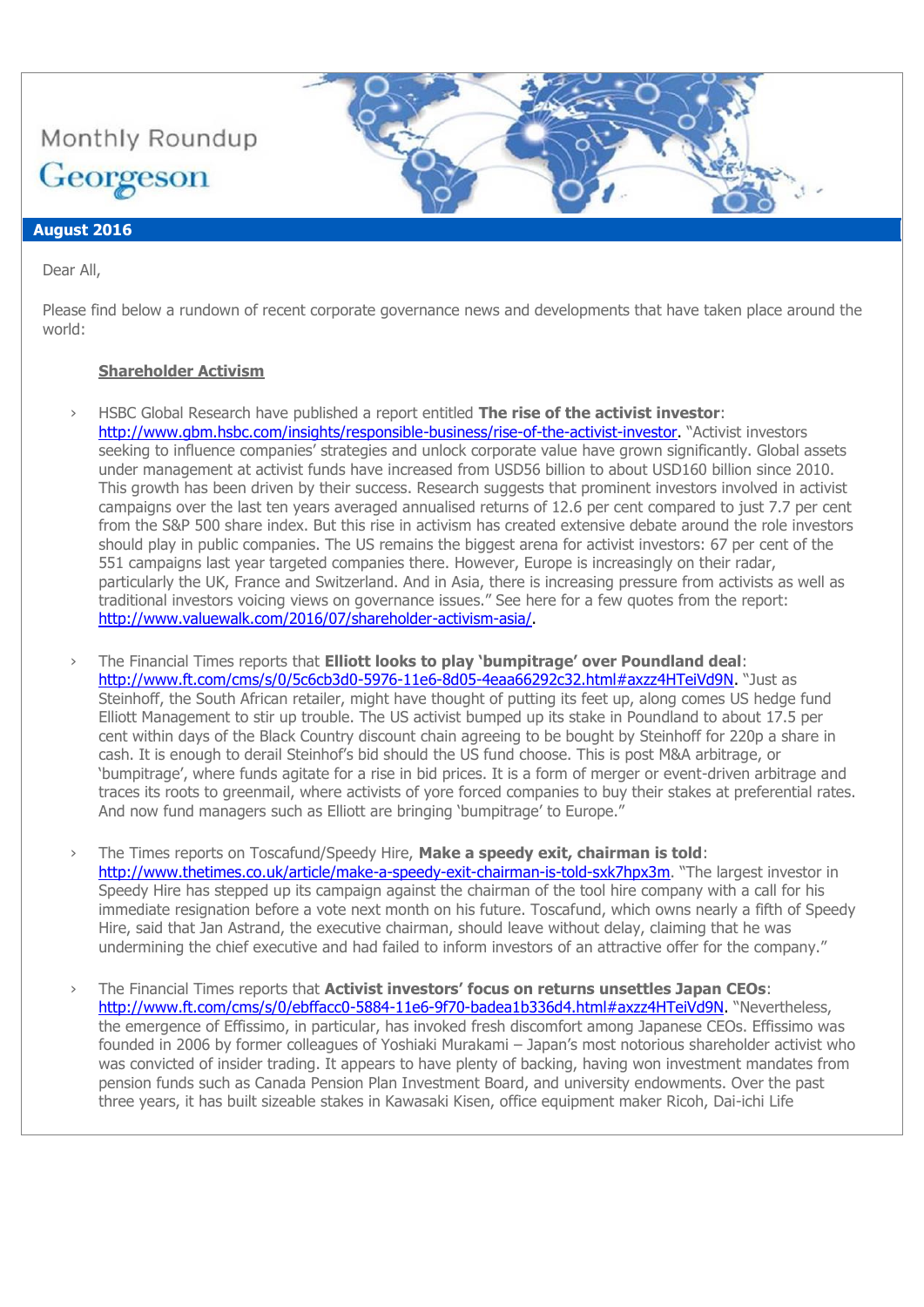

## **August 2016**

Dear All,

Please find below a rundown of recent corporate governance news and developments that have taken place around the world:

### **Shareholder Activism**

- › HSBC Global Research have published a report entitled **The rise of the activist investor**:
	- [http://www.gbm.hsbc.com/insights/responsible-business/rise-of-the-activist-investor.](http://www.gbm.hsbc.com/insights/responsible-business/rise-of-the-activist-investor) "Activist investors seeking to influence companies' strategies and unlock corporate value have grown significantly. Global assets under management at activist funds have increased from USD56 billion to about USD160 billion since 2010. This growth has been driven by their success. Research suggests that prominent investors involved in activist campaigns over the last ten years averaged annualised returns of 12.6 per cent compared to just 7.7 per cent from the S&P 500 share index. But this rise in activism has created extensive debate around the role investors should play in public companies. The US remains the biggest arena for activist investors: 67 per cent of the 551 campaigns last year targeted companies there. However, Europe is increasingly on their radar, particularly the UK, France and Switzerland. And in Asia, there is increasing pressure from activists as well as traditional investors voicing views on governance issues." See here for a few quotes from the report: [http://www.valuewalk.com/2016/07/shareholder-activism-asia/.](http://www.valuewalk.com/2016/07/shareholder-activism-asia/)
- › The Financial Times reports that **Elliott looks to play 'bumpitrage' over Poundland deal**: [http://www.ft.com/cms/s/0/5c6cb3d0-5976-11e6-8d05-4eaa66292c32.html#axzz4HTeiVd9N.](http://www.ft.com/cms/s/0/5c6cb3d0-5976-11e6-8d05-4eaa66292c32.html#axzz4HTeiVd9N) "Just as Steinhoff, the South African retailer, might have thought of putting its feet up, along comes US hedge fund Elliott Management to stir up trouble. The US activist bumped up its stake in Poundland to about 17.5 per cent within days of the Black Country discount chain agreeing to be bought by Steinhoff for 220p a share in cash. It is enough to derail Steinhof's bid should the US fund choose. This is post M&A arbitrage, or 'bumpitrage', where funds agitate for a rise in bid prices. It is a form of merger or event-driven arbitrage and traces its roots to greenmail, where activists of yore forced companies to buy their stakes at preferential rates. And now fund managers such as Elliott are bringing 'bumpitrage' to Europe."
- › The Times reports on Toscafund/Speedy Hire, **Make a speedy exit, chairman is told**: <http://www.thetimes.co.uk/article/make-a-speedy-exit-chairman-is-told-sxk7hpx3m>. "The largest investor in Speedy Hire has stepped up its campaign against the chairman of the tool hire company with a call for his immediate resignation before a vote next month on his future. Toscafund, which owns nearly a fifth of Speedy Hire, said that Jan Astrand, the executive chairman, should leave without delay, claiming that he was undermining the chief executive and had failed to inform investors of an attractive offer for the company."
- › The Financial Times reports that **Activist investors' focus on returns unsettles Japan CEOs**: [http://www.ft.com/cms/s/0/ebffacc0-5884-11e6-9f70-badea1b336d4.html#axzz4HTeiVd9N.](http://www.ft.com/cms/s/0/ebffacc0-5884-11e6-9f70-badea1b336d4.html#axzz4HTeiVd9N) "Nevertheless, the emergence of Effissimo, in particular, has invoked fresh discomfort among Japanese CEOs. Effissimo was founded in 2006 by former colleagues of Yoshiaki Murakami – Japan's most notorious shareholder activist who was convicted of insider trading. It appears to have plenty of backing, having won investment mandates from pension funds such as Canada Pension Plan Investment Board, and university endowments. Over the past three years, it has built sizeable stakes in Kawasaki Kisen, office equipment maker Ricoh, Dai-ichi Life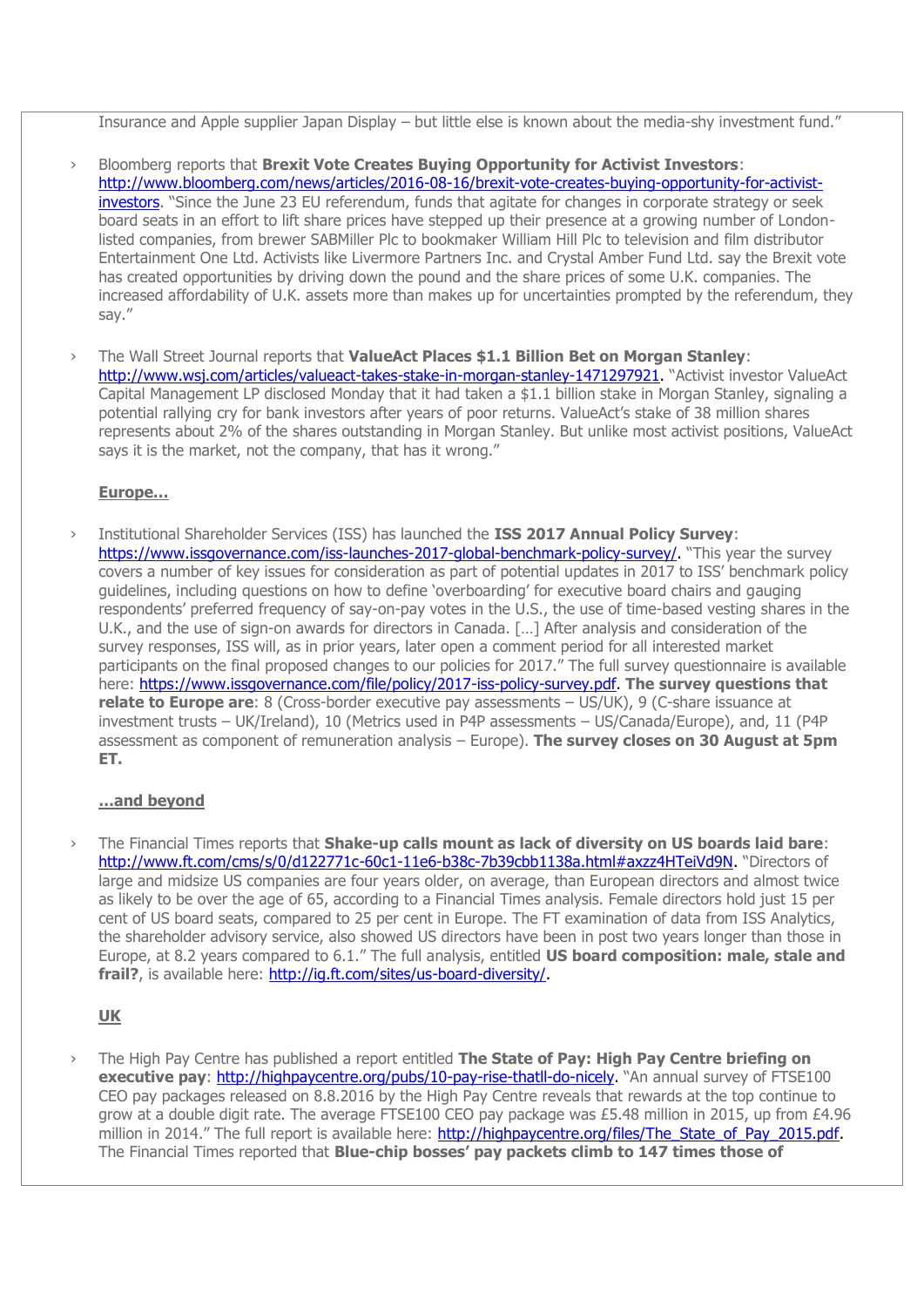Insurance and Apple supplier Japan Display – but little else is known about the media-shy investment fund."

- › Bloomberg reports that **Brexit Vote Creates Buying Opportunity for Activist Investors**: [http://www.bloomberg.com/news/articles/2016-08-16/brexit-vote-creates-buying-opportunity-for-activist](http://www.bloomberg.com/news/articles/2016-08-16/brexit-vote-creates-buying-opportunity-for-activist-investors)[investors](http://www.bloomberg.com/news/articles/2016-08-16/brexit-vote-creates-buying-opportunity-for-activist-investors). "Since the June 23 EU referendum, funds that agitate for changes in corporate strategy or seek board seats in an effort to lift share prices have stepped up their presence at a growing number of Londonlisted companies, from brewer SABMiller Plc to bookmaker William Hill Plc to television and film distributor Entertainment One Ltd. Activists like Livermore Partners Inc. and Crystal Amber Fund Ltd. say the Brexit vote has created opportunities by driving down the pound and the share prices of some U.K. companies. The increased affordability of U.K. assets more than makes up for uncertainties prompted by the referendum, they say."
- › The Wall Street Journal reports that **ValueAct Places \$1.1 Billion Bet on Morgan Stanley**: [http://www.wsj.com/articles/valueact-takes-stake-in-morgan-stanley-1471297921.](http://www.wsj.com/articles/valueact-takes-stake-in-morgan-stanley-1471297921) "Activist investor ValueAct Capital Management LP disclosed Monday that it had taken a \$1.1 billion stake in Morgan Stanley, signaling a potential rallying cry for bank investors after years of poor returns. ValueAct's stake of 38 million shares represents about 2% of the shares outstanding in Morgan Stanley. But unlike most activist positions, ValueAct says it is the market, not the company, that has it wrong."

### **Europe…**

› Institutional Shareholder Services (ISS) has launched the **ISS 2017 Annual Policy Survey**: [https://www.issgovernance.com/iss-launches-2017-global-benchmark-policy-survey/.](https://www.issgovernance.com/iss-launches-2017-global-benchmark-policy-survey/) "This year the survey covers a number of key issues for consideration as part of potential updates in 2017 to ISS' benchmark policy guidelines, including questions on how to define 'overboarding' for executive board chairs and gauging respondents' preferred frequency of say-on-pay votes in the U.S., the use of time-based vesting shares in the U.K., and the use of sign-on awards for directors in Canada. […] After analysis and consideration of the survey responses, ISS will, as in prior years, later open a comment period for all interested market participants on the final proposed changes to our policies for 2017." The full survey questionnaire is available here: [https://www.issgovernance.com/file/policy/2017-iss-policy-survey.pdf.](https://www.issgovernance.com/file/policy/2017-iss-policy-survey.pdf) **The survey questions that relate to Europe are**: 8 (Cross-border executive pay assessments – US/UK), 9 (C-share issuance at investment trusts – UK/Ireland), 10 (Metrics used in P4P assessments – US/Canada/Europe), and, 11 (P4P assessment as component of remuneration analysis – Europe). **The survey closes on 30 August at 5pm ET.** 

## **…and beyond**

› The Financial Times reports that **Shake-up calls mount as lack of diversity on US boards laid bare**: [http://www.ft.com/cms/s/0/d122771c-60c1-11e6-b38c-7b39cbb1138a.html#axzz4HTeiVd9N.](http://www.ft.com/cms/s/0/d122771c-60c1-11e6-b38c-7b39cbb1138a.html#axzz4HTeiVd9N) "Directors of large and midsize US companies are four years older, on average, than European directors and almost twice as likely to be over the age of 65, according to a Financial Times analysis. Female directors hold just 15 per cent of US board seats, compared to 25 per cent in Europe. The FT examination of data from ISS Analytics, the shareholder advisory service, also showed US directors have been in post two years longer than those in Europe, at 8.2 years compared to 6.1." The full analysis, entitled **US board composition: male, stale and**  frail?, is available here: [http://ig.ft.com/sites/us-board-diversity/.](http://ig.ft.com/sites/us-board-diversity/)

# **UK**

› The High Pay Centre has published a report entitled **The State of Pay: High Pay Centre briefing on executive pay: [http://highpaycentre.org/pubs/10-pay-rise-thatll-do-nicely.](http://highpaycentre.org/pubs/10-pay-rise-thatll-do-nicely)** "An annual survey of FTSE100 CEO pay packages released on 8.8.2016 by the High Pay Centre reveals that rewards at the top continue to grow at a double digit rate. The average FTSE100 CEO pay package was £5.48 million in 2015, up from £4.96 million in 2014." The full report is available here: http://highpaycentre.org/files/The State of Pay 2015.pdf. The Financial Times reported that **Blue-chip bosses' pay packets climb to 147 times those of**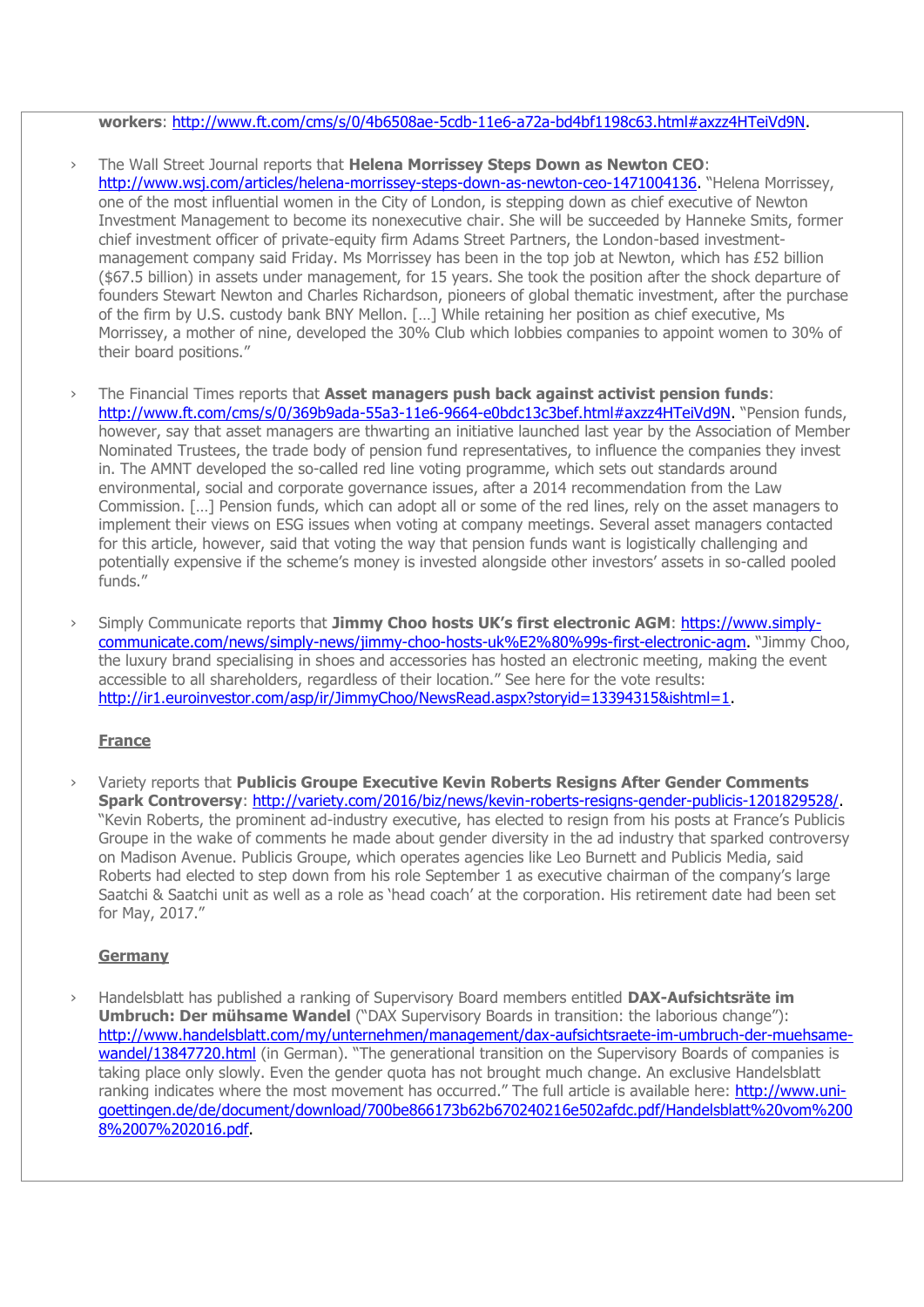#### **workers**: [http://www.ft.com/cms/s/0/4b6508ae-5cdb-11e6-a72a-bd4bf1198c63.html#axzz4HTeiVd9N.](http://www.ft.com/cms/s/0/4b6508ae-5cdb-11e6-a72a-bd4bf1198c63.html#axzz4HTeiVd9N)

- › The Wall Street Journal reports that **Helena Morrissey Steps Down as Newton CEO**: [http://www.wsj.com/articles/helena-morrissey-steps-down-as-newton-ceo-1471004136.](http://www.wsj.com/articles/helena-morrissey-steps-down-as-newton-ceo-1471004136) "Helena Morrissey, one of the most influential women in the City of London, is stepping down as chief executive of Newton Investment Management to become its nonexecutive chair. She will be succeeded by Hanneke Smits, former chief investment officer of private-equity firm Adams Street Partners, the London-based investmentmanagement company said Friday. Ms Morrissey has been in the top job at Newton, which has £52 billion (\$67.5 billion) in assets under management, for 15 years. She took the position after the shock departure of founders Stewart Newton and Charles Richardson, pioneers of global thematic investment, after the purchase of the firm by U.S. custody bank BNY Mellon. […] While retaining her position as chief executive, Ms Morrissey, a mother of nine, developed the 30% Club which lobbies companies to appoint women to 30% of their board positions."
- › The Financial Times reports that **Asset managers push back against activist pension funds**: [http://www.ft.com/cms/s/0/369b9ada-55a3-11e6-9664-e0bdc13c3bef.html#axzz4HTeiVd9N.](http://www.ft.com/cms/s/0/369b9ada-55a3-11e6-9664-e0bdc13c3bef.html#axzz4HTeiVd9N) "Pension funds, however, say that asset managers are thwarting an initiative launched last year by the Association of Member Nominated Trustees, the trade body of pension fund representatives, to influence the companies they invest in. The AMNT developed the so-called red line voting programme, which sets out standards around environmental, social and corporate governance issues, after a 2014 recommendation from the Law Commission. […] Pension funds, which can adopt all or some of the red lines, rely on the asset managers to implement their views on ESG issues when voting at company meetings. Several asset managers contacted for this article, however, said that voting the way that pension funds want is logistically challenging and potentially expensive if the scheme's money is invested alongside other investors' assets in so-called pooled  $f$ unds."
- › Simply Communicate reports that **Jimmy Choo hosts UK's first electronic AGM**: [https://www.simply](https://www.simply-communicate.com/news/simply-news/jimmy-choo-hosts-uk%E2%80%99s-first-electronic-agm)[communicate.com/news/simply-news/jimmy-choo-hosts-uk%E2%80%99s-first-electronic-agm.](https://www.simply-communicate.com/news/simply-news/jimmy-choo-hosts-uk%E2%80%99s-first-electronic-agm) "Jimmy Choo, the luxury brand specialising in shoes and accessories has hosted an electronic meeting, making the event accessible to all shareholders, regardless of their location." See here for the vote results: [http://ir1.euroinvestor.com/asp/ir/JimmyChoo/NewsRead.aspx?storyid=13394315&ishtml=1.](http://ir1.euroinvestor.com/asp/ir/JimmyChoo/NewsRead.aspx?storyid=13394315&ishtml=1)

#### **France**

› Variety reports that **Publicis Groupe Executive Kevin Roberts Resigns After Gender Comments Spark Controversy**: [http://variety.com/2016/biz/news/kevin-roberts-resigns-gender-publicis-1201829528/.](http://variety.com/2016/biz/news/kevin-roberts-resigns-gender-publicis-1201829528/) "Kevin Roberts, the prominent ad-industry executive, has elected to resign from his posts at France's Publicis Groupe in the wake of comments he made about gender diversity in the ad industry that sparked controversy on Madison Avenue. Publicis Groupe, which operates agencies like Leo Burnett and Publicis Media, said Roberts had elected to step down from his role September 1 as executive chairman of the company's large Saatchi & Saatchi unit as well as a role as 'head coach' at the corporation. His retirement date had been set for May, 2017."

#### **Germany**

› Handelsblatt has published a ranking of Supervisory Board members entitled **DAX-Aufsichtsräte im Umbruch: Der mühsame Wandel** ("DAX Supervisory Boards in transition: the laborious change"): [http://www.handelsblatt.com/my/unternehmen/management/dax-aufsichtsraete-im-umbruch-der-muehsame](http://www.handelsblatt.com/my/unternehmen/management/dax-aufsichtsraete-im-umbruch-der-muehsame-wandel/13847720.html)[wandel/13847720.html](http://www.handelsblatt.com/my/unternehmen/management/dax-aufsichtsraete-im-umbruch-der-muehsame-wandel/13847720.html) (in German). "The generational transition on the Supervisory Boards of companies is taking place only slowly. Even the gender quota has not brought much change. An exclusive Handelsblatt ranking indicates where the most movement has occurred." The full article is available here: [http://www.uni](http://www.uni-goettingen.de/de/document/download/700be866173b62b670240216e502afdc.pdf/Handelsblatt%20vom%2008%2007%202016.pdf)[goettingen.de/de/document/download/700be866173b62b670240216e502afdc.pdf/Handelsblatt%20vom%200](http://www.uni-goettingen.de/de/document/download/700be866173b62b670240216e502afdc.pdf/Handelsblatt%20vom%2008%2007%202016.pdf) [8%2007%202016.pdf.](http://www.uni-goettingen.de/de/document/download/700be866173b62b670240216e502afdc.pdf/Handelsblatt%20vom%2008%2007%202016.pdf)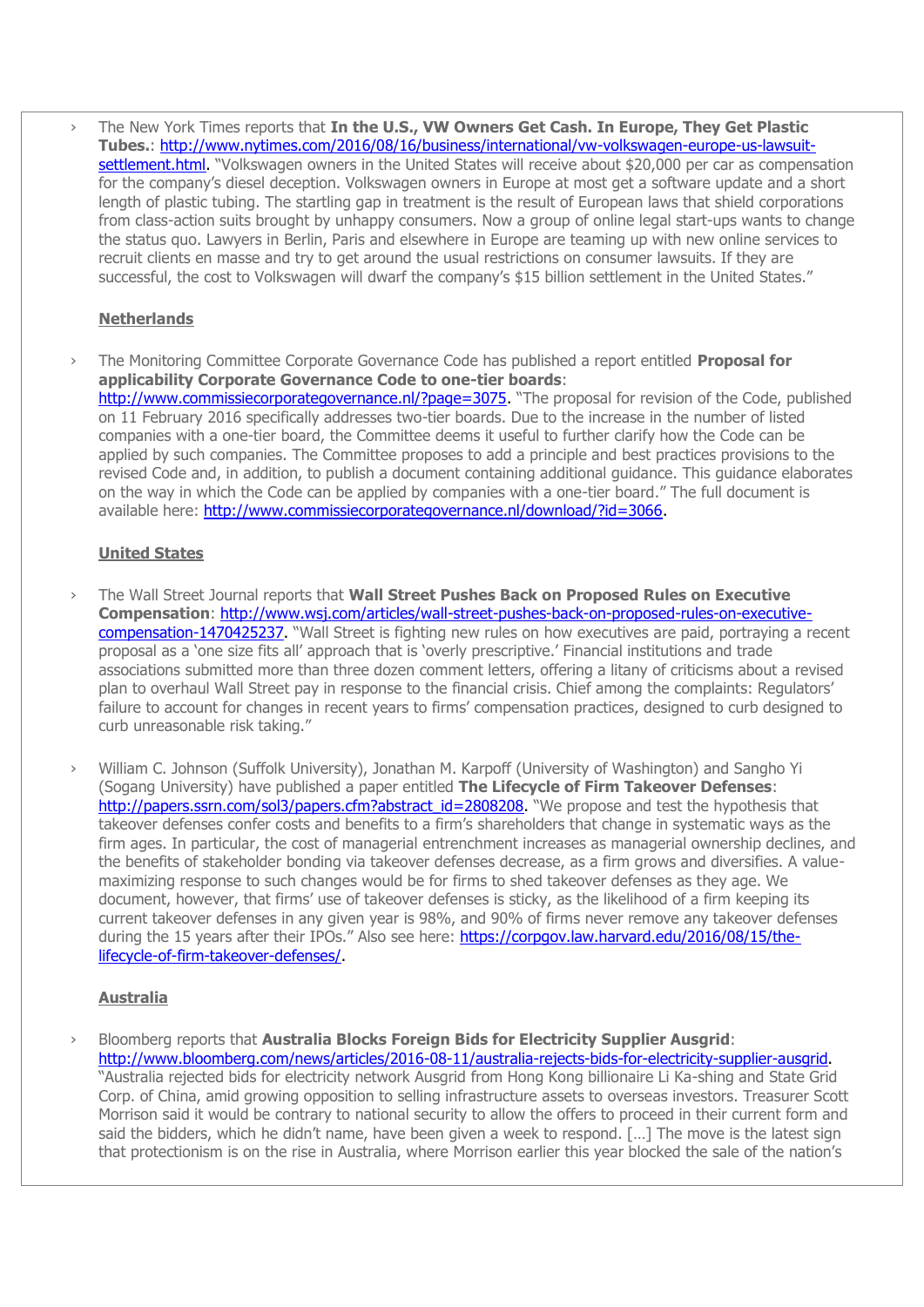› The New York Times reports that **In the U.S., VW Owners Get Cash. In Europe, They Get Plastic Tubes.**: [http://www.nytimes.com/2016/08/16/business/international/vw-volkswagen-europe-us-lawsuit](http://www.nytimes.com/2016/08/16/business/international/vw-volkswagen-europe-us-lawsuit-settlement.html)[settlement.html.](http://www.nytimes.com/2016/08/16/business/international/vw-volkswagen-europe-us-lawsuit-settlement.html) "Volkswagen owners in the United States will receive about \$20,000 per car as compensation for the company's diesel deception. Volkswagen owners in Europe at most get a software update and a short length of plastic tubing. The startling gap in treatment is the result of European laws that shield corporations from class-action suits brought by unhappy consumers. Now a group of online legal start-ups wants to change the status quo. Lawyers in Berlin, Paris and elsewhere in Europe are teaming up with new online services to recruit clients en masse and try to get around the usual restrictions on consumer lawsuits. If they are successful, the cost to Volkswagen will dwarf the company's \$15 billion settlement in the United States."

## **Netherlands**

› The Monitoring Committee Corporate Governance Code has published a report entitled **Proposal for applicability Corporate Governance Code to one-tier boards**: [http://www.commissiecorporategovernance.nl/?page=3075.](http://www.commissiecorporategovernance.nl/?page=3075) "The proposal for revision of the Code, published on 11 February 2016 specifically addresses two-tier boards. Due to the increase in the number of listed companies with a one-tier board, the Committee deems it useful to further clarify how the Code can be applied by such companies. The Committee proposes to add a principle and best practices provisions to the revised Code and, in addition, to publish a document containing additional guidance. This guidance elaborates on the way in which the Code can be applied by companies with a one-tier board." The full document is available here: [http://www.commissiecorporategovernance.nl/download/?id=3066.](http://www.commissiecorporategovernance.nl/download/?id=3066)

## **United States**

- › The Wall Street Journal reports that **Wall Street Pushes Back on Proposed Rules on Executive Compensation**: [http://www.wsj.com/articles/wall-street-pushes-back-on-proposed-rules-on-executive](http://www.wsj.com/articles/wall-street-pushes-back-on-proposed-rules-on-executive-compensation-1470425237)[compensation-1470425237.](http://www.wsj.com/articles/wall-street-pushes-back-on-proposed-rules-on-executive-compensation-1470425237) "Wall Street is fighting new rules on how executives are paid, portraying a recent proposal as a 'one size fits all' approach that is 'overly prescriptive.' Financial institutions and trade associations submitted more than three dozen comment letters, offering a litany of criticisms about a revised plan to overhaul Wall Street pay in response to the financial crisis. Chief among the complaints: Regulators' failure to account for changes in recent years to firms' compensation practices, designed to curb designed to curb unreasonable risk taking."
- › William C. Johnson (Suffolk University), Jonathan M. Karpoff (University of Washington) and Sangho Yi (Sogang University) have published a paper entitled **The Lifecycle of Firm Takeover Defenses**: [http://papers.ssrn.com/sol3/papers.cfm?abstract\\_id=2808208.](http://papers.ssrn.com/sol3/papers.cfm?abstract_id=2808208) "We propose and test the hypothesis that takeover defenses confer costs and benefits to a firm's shareholders that change in systematic ways as the firm ages. In particular, the cost of managerial entrenchment increases as managerial ownership declines, and the benefits of stakeholder bonding via takeover defenses decrease, as a firm grows and diversifies. A valuemaximizing response to such changes would be for firms to shed takeover defenses as they age. We document, however, that firms' use of takeover defenses is sticky, as the likelihood of a firm keeping its current takeover defenses in any given year is 98%, and 90% of firms never remove any takeover defenses during the 15 years after their IPOs." Also see here: [https://corpgov.law.harvard.edu/2016/08/15/the](https://corpgov.law.harvard.edu/2016/08/15/the-lifecycle-of-firm-takeover-defenses/)[lifecycle-of-firm-takeover-defenses/.](https://corpgov.law.harvard.edu/2016/08/15/the-lifecycle-of-firm-takeover-defenses/)

### **Australia**

› Bloomberg reports that **Australia Blocks Foreign Bids for Electricity Supplier Ausgrid**: [http://www.bloomberg.com/news/articles/2016-08-11/australia-rejects-bids-for-electricity-supplier-ausgrid.](http://www.bloomberg.com/news/articles/2016-08-11/australia-rejects-bids-for-electricity-supplier-ausgrid) "Australia rejected bids for electricity network Ausgrid from Hong Kong billionaire Li Ka-shing and State Grid Corp. of China, amid growing opposition to selling infrastructure assets to overseas investors. Treasurer Scott Morrison said it would be contrary to national security to allow the offers to proceed in their current form and said the bidders, which he didn't name, have been given a week to respond. […] The move is the latest sign that protectionism is on the rise in Australia, where Morrison earlier this year blocked the sale of the nation's